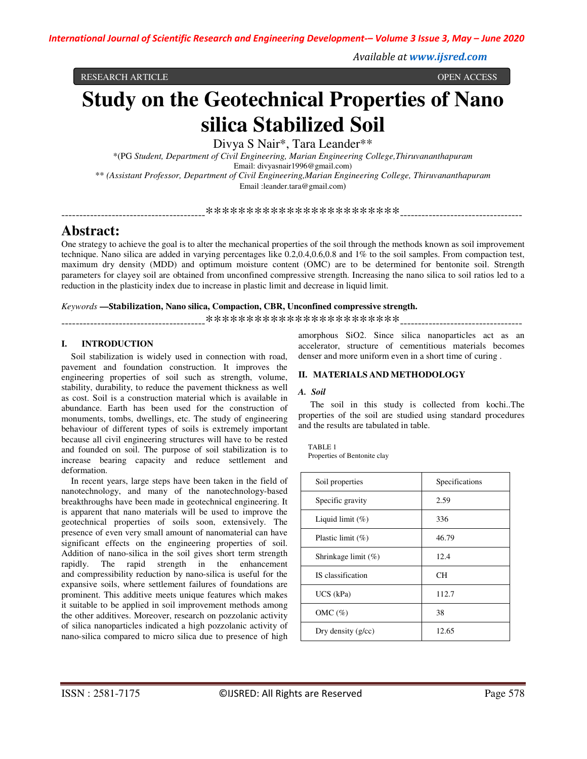*Available at www.ijsred.com*

RESEARCH ARTICLE OPEN ACCESS

# **Study on the Geotechnical Properties of Nano silica Stabilized Soil**

Divya S Nair\*, Tara Leander\*\*

\*(PG *Student, Department of Civil Engineering, Marian Engineering College,Thiruvananthapuram* Email: divyasnair1996@gmail.com) \*\* *(Assistant Professor, Department of Civil Engineering,Marian Engineering College, Thiruvananthapuram* Email :leander.tara@gmail.com)

\*\*\*\*\*\*\*\*\*\*\*\*\*\*\*\*\*\*\*\*\*\*\*\*\*\*\*

# **Abstract:**

One strategy to achieve the goal is to alter the mechanical properties of the soil through the methods known as soil improvement technique. Nano silica are added in varying percentages like 0.2,0.4,0.6,0.8 and 1% to the soil samples. From compaction test, maximum dry density (MDD) and optimum moisture content (OMC) are to be determined for bentonite soil. Strength parameters for clayey soil are obtained from unconfined compressive strength. Increasing the nano silica to soil ratios led to a reduction in the plasticity index due to increase in plastic limit and decrease in liquid limit.

### *Keywords* **—Stabilization, Nano silica, Compaction, CBR, Unconfined compressive strength.**

----------------------------------------\*\*\*\*\*\*\*\*\*\*\*\*\*\*\*\*\*\*\*\*\*\*\*\*----------------------------------

# **I. INTRODUCTION**

Soil stabilization is widely used in connection with road, pavement and foundation construction. It improves the engineering properties of soil such as strength, volume, stability, durability, to reduce the pavement thickness as well as cost. Soil is a construction material which is available in abundance. Earth has been used for the construction of monuments, tombs, dwellings, etc. The study of engineering behaviour of different types of soils is extremely important because all civil engineering structures will have to be rested and founded on soil. The purpose of soil stabilization is to increase bearing capacity and reduce settlement and deformation.

In recent years, large steps have been taken in the field of nanotechnology, and many of the nanotechnology-based breakthroughs have been made in geotechnical engineering. It is apparent that nano materials will be used to improve the geotechnical properties of soils soon, extensively. The presence of even very small amount of nanomaterial can have significant effects on the engineering properties of soil. Addition of nano-silica in the soil gives short term strength rapidly. The rapid strength in the enhancement and compressibility reduction by nano-silica is useful for the expansive soils, where settlement failures of foundations are prominent. This additive meets unique features which makes it suitable to be applied in soil improvement methods among the other additives. Moreover, research on pozzolanic activity of silica nanoparticles indicated a high pozzolanic activity of nano-silica compared to micro silica due to presence of high amorphous SiO2. Since silica nanoparticles act as an accelerator, structure of cementitious materials becomes denser and more uniform even in a short time of curing .

# **II. MATERIALS AND METHODOLOGY**

#### *A. Soil*

 The soil in this study is collected from kochi..The properties of the soil are studied using standard procedures and the results are tabulated in table.

TABLE 1 Properties of Bentonite clay

| Soil properties        | Specifications |
|------------------------|----------------|
| Specific gravity       | 2.59           |
| Liquid limit $(\%)$    | 336            |
| Plastic limit $(\%)$   | 46.79          |
| Shrinkage limit $(\%)$ | 12.4           |
| IS classification      | CН             |
| $UCS$ (kPa)            | 112.7          |
| OMC $(\%)$             | 38             |
| Dry density $(g/cc)$   | 12.65          |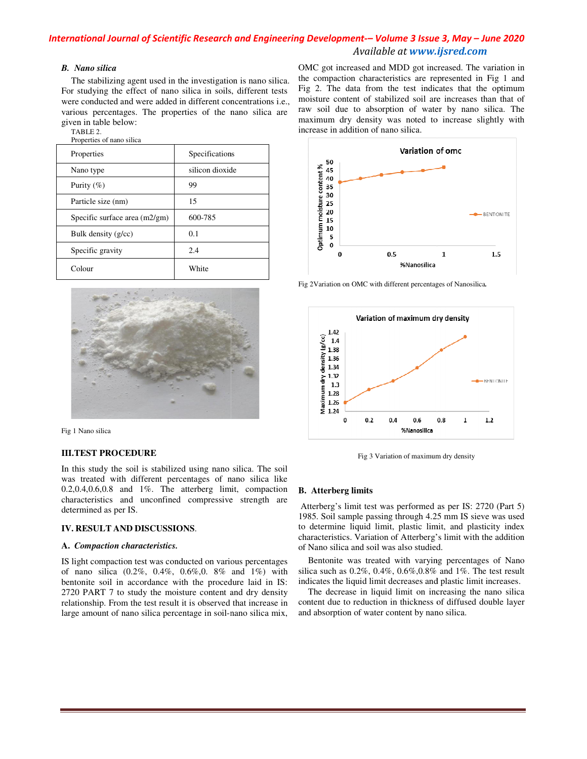# *International Journal of Scientific Research and Engineering Development of Development-– Volume 3 Issue 3 3, May – June 2020 Available at www.ijsred.com*

#### *B. Nano silica*

The stabilizing agent used in the investigation is nano silica. For studying the effect of nano silica in soils, different tests were conducted and were added in different concentrations i.e., were conducted and were added in different concentrations i.e., various percentages. The properties of the nano silica are given in table below:

TABLE 2. Properties of nano silica

| Tropernes of hand sinea         |                 |
|---------------------------------|-----------------|
| Properties                      | Specifications  |
| Nano type                       | silicon dioxide |
| Purity $(\%)$                   | 99              |
| Particle size (nm)              | 15              |
| Specific surface area $(m2/gm)$ | 600-785         |
| Bulk density $(g/cc)$           | 0.1             |
| Specific gravity                | 2.4             |
| Colour                          | White           |



Fig 1 Nano silica

### **III.TEST PROCEDURE**

In this study the soil is stabilized using nano silica. The soil was treated with different percentages of nano silica like  $0.2, 0.4, 0.6, 0.8$  and  $1\%$ . The atterberg limit, compaction characteristics and unconfined compressive strength are determined as per IS.

#### **IV. RESULT AND DISCUSSIONS**.

#### **A.** *Compaction characteristics.*

IS light compaction test was conducted on various percentages of nano silica (0.2%, 0.4%, 0.6%,0. 8% and 1%) with of nano silica  $(0.2\%, 0.4\%, 0.6\%, 0.8\%$  and  $1\%)$  with bentonite soil in accordance with the procedure laid in IS: 2720 PART 7 to study the moisture content and dry density relationship. From the test result it is observed that increase in large amount of nano silica percentage in soil-nano silica mix, OMC got increased and MDD got increased. The variation in the compaction characteristics are represented in Fig 1 and Fig 2. The data from the test indicates that the optimum moisture content of stabilized soil are increases than that of raw soil due to absorption of water by nano silica. The maximum dry density was noted to increase slightly with increase in addition of nano silica. Fig 2. The data from the test indicates that the optimum<br>moisture content of stabilized soil are increases than that of<br>raw soil due to absorption of water by nano silica. The



Fig 2Variation on OMC with different percentages of Nanosilica Nanosilica*.*



Fig 3 Variation of maximum dry density Fig

#### **B. Atterberg limits**

 Atterberg's limit test was performed as per IS: 2720 (Part 5) 1985. Soil sample passing through 4.25 mm IS sieve was used to determine liquid limit, plastic limit, and plasticity index characteristics. Variation of Atterberg's limit with the addition of Nano silica and soil was also studied. Atterberg's limit test was performed as per IS: 2720 (Part 5)<br>1985. Soil sample passing through 4.25 mm IS sieve was used<br>to determine liquid limit, plastic limit, and plasticity index<br>characteristics. Variation of Atterbe

Bentonite was treated with varying percentages of Nano silica such as 0.2%, 0.4%, 0.6%,0.8% and 1%. The test result indicates the liquid limit decreases and plastic limit increases.

The decrease in liquid limit on increasing the nano silica content due to reduction in thickness of diffused double layer and absorption of water content by nano silica.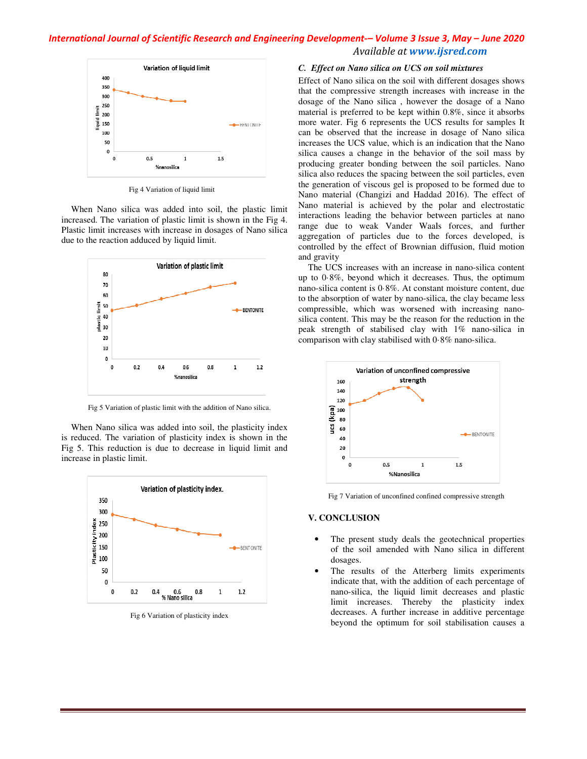# *International Journal of Scientific Research and Engineering Development of Development-– Volume 3 Issue 3 3, May – June 2020 Available at www.ijsred.com*



Fig 4 Variation of liquid limit

When Nano silica was added into soil, the plastic limit increased. The variation of plastic limit is shown in the Fig 4. Plastic limit increases with increase in dosages of Nano silica due to the reaction adduced by liquid limit.



Fig 5 Variation of plastic limit with the addition of Nano silica.

When Nano silica was added into soil, the plasticity index is reduced. The variation of plasticity index is shown in the Fig 5. This reduction is due to decrease in liquid limit and increase in plastic limit.



Fig 6 Variation of plasticity index

#### *C. Effect on Nano silica on UCS on soil mixtures on on mixtures*

Effect of Nano silica on the soil with different dosages shows that the compressive strength increases with increase in the dosage of the Nano silica , however the dosage of a Nano material is preferred to be kept within 0.8%, since it absorbs more water. Fig 6 represents the UCS results for samples It can be observed that the increase in dosage of Nano silica increases the UCS value, which is an indication that the Nano silica causes a change in the behavior of the soil mass by producing greater bonding between the soil particles. Nano silica also reduces the spacing between the soil particles, even the generation of viscous gel is proposed to be formed due to Nano material (Changizi and Haddad 2016). The effect of Nano material is achieved by the polar and electrostatic interactions leading the behavior between particles at nano range due to weak Vander Waals forces, and further aggregation of particles due to the forces developed, is controlled by the effect of Brownian diffusion, fluid motion and gravity ano silica, however the dosage of a Nano red to be kept within 0.8%, since it absorbs 6 represents the UCS results for samples It that the increase in dosage of Nano silica S value, which is an indication that the Nano han silica also reduces the spacing between the soil particles, even<br>the generation of viscous gel is proposed to be formed due to<br>Nano material (Changizi and Haddad 2016). The effect of<br>Nano material is achieved by the polar

The UCS increases with an increase in nano-silica content up to 0·8%, beyond which it decreases. Thus, the optimum nano-silica content is 0·8%. At constant moisture content, due to the absorption of water by nano-silica, the clay became less compressible, which was worsened with increasing nano silica content. This may be the reason for the reduction in the silica content. This may be the reason for the reduction in the peak strength of stabilised clay with  $1\%$  nano-silica in comparison with clay stabilised with 0.8% nano-silica. silica content is  $0.8\%$ . At constant moisture content, due absorption of water by nano-silica, the clay became less ressible, which was worsened with increasing nano-



Fig 7 Variation of unconfined confined compressive strength

#### **V. CONCLUSION**

- The present study deals the geotechnical properties of the soil amended with Nano silica in different dosages.
- The results of the Atterberg limits experiments indicate that, with the addition of each percentage of nano-silica, the liquid limit decreases and plastic limit increases. Thereby the plasticity index decreases. A further increase in additive percentage The present study deals the geotechnical properties<br>of the soil amended with Nano silica in different<br>dosages.<br>The results of the Atterberg limits experiments<br>indicate that, with the addition of each percentage of<br>nano-sil